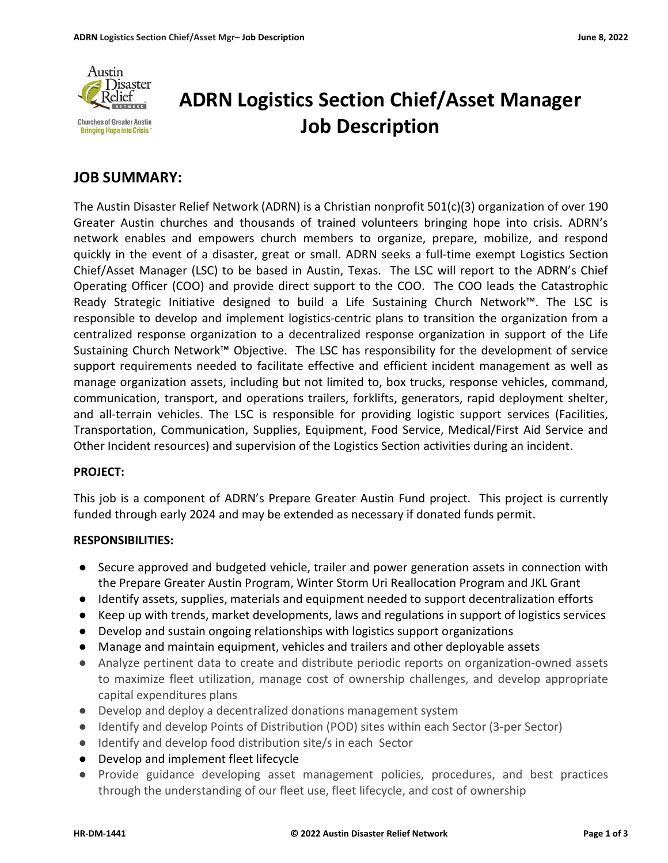

# ADRN Logistics Section Chief/Asset Manager Job Description

## JOB SUMMARY:

The Austin Disaster Relief Network (ADRN) is a Christian nonprofit 501(c)(3) organization of over 190 Greater Austin churches and thousands of trained volunteers bringing hope into crisis. ADRN's network enables and empowers church members to organize, prepare, mobilize, and respond quickly in the event of a disaster, great or small. ADRN seeks a full-time exempt Logistics Section Chief/Asset Manager (LSC) to be based in Austin, Texas. The LSC will report to the ADRN's Chief Operating Officer (COO) and provide direct support to the COO. The COO leads the Catastrophic Ready Strategic Initiative designed to build a Life Sustaining Church Network™. The LSC is responsible to develop and implement logistics-centric plans to transition the organization from a centralized response organization to a decentralized response organization in support of the Life Sustaining Church Network™ Objective. The LSC has responsibility for the development of service support requirements needed to facilitate effective and efficient incident management as well as manage organization assets, including but not limited to, box trucks, response vehicles, command, communication, transport, and operations trailers, forklifts, generators, rapid deployment shelter, and all-terrain vehicles. The LSC is responsible for providing logistic support services (Facilities, Transportation, Communication, Supplies, Equipment, Food Service, Medical/First Aid Service and Other Incident resources) and supervision of the Logistics Section activities during an incident.

#### PROJECT:

This job is a component of ADRN's Prepare Greater Austin Fund project. This project is currently funded through early 2024 and may be extended as necessary if donated funds permit.

#### RESPONSIBILITIES:

- Secure approved and budgeted vehicle, trailer and power generation assets in connection with the Prepare Greater Austin Program, Winter Storm Uri Reallocation Program and JKL Grant
- Identify assets, supplies, materials and equipment needed to support decentralization efforts
- Keep up with trends, market developments, laws and regulations in support of logistics services
- Develop and sustain ongoing relationships with logistics support organizations
- Manage and maintain equipment, vehicles and trailers and other deployable assets
- Analyze pertinent data to create and distribute periodic reports on organization-owned assets to maximize fleet utilization, manage cost of ownership challenges, and develop appropriate capital expenditures plans
- Develop and deploy a decentralized donations management system
- Identify and develop Points of Distribution (POD) sites within each Sector (3-per Sector)
- Identify and develop food distribution site/s in each Sector
- Develop and implement fleet lifecycle
- Provide guidance developing asset management policies, procedures, and best practices through the understanding of our fleet use, fleet lifecycle, and cost of ownership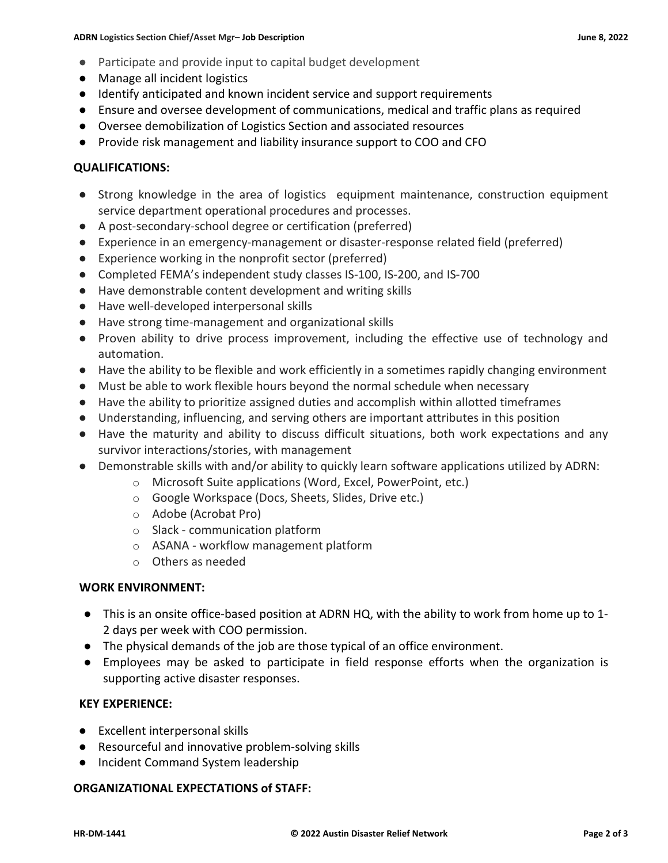- Participate and provide input to capital budget development
- Manage all incident logistics
- Identify anticipated and known incident service and support requirements
- Ensure and oversee development of communications, medical and traffic plans as required
- Oversee demobilization of Logistics Section and associated resources
- Provide risk management and liability insurance support to COO and CFO

### QUALIFICATIONS:

- Strong knowledge in the area of logistics equipment maintenance, construction equipment service department operational procedures and processes.
- A post-secondary-school degree or certification (preferred)
- Experience in an emergency-management or disaster-response related field (preferred)
- Experience working in the nonprofit sector (preferred)
- Completed FEMA's independent study classes IS-100, IS-200, and IS-700
- Have demonstrable content development and writing skills
- Have well-developed interpersonal skills
- Have strong time-management and organizational skills
- Proven ability to drive process improvement, including the effective use of technology and automation.
- Have the ability to be flexible and work efficiently in a sometimes rapidly changing environment
- Must be able to work flexible hours beyond the normal schedule when necessary
- Have the ability to prioritize assigned duties and accomplish within allotted timeframes
- Understanding, influencing, and serving others are important attributes in this position
- Have the maturity and ability to discuss difficult situations, both work expectations and any survivor interactions/stories, with management
- Demonstrable skills with and/or ability to quickly learn software applications utilized by ADRN:
	- o Microsoft Suite applications (Word, Excel, PowerPoint, etc.)
		- o Google Workspace (Docs, Sheets, Slides, Drive etc.)
		- o Adobe (Acrobat Pro)
		- o Slack communication platform
		- o ASANA workflow management platform
		- o Others as needed

#### WORK ENVIRONMENT:

- This is an onsite office-based position at ADRN HQ, with the ability to work from home up to 1- 2 days per week with COO permission.
- The physical demands of the job are those typical of an office environment.
- Employees may be asked to participate in field response efforts when the organization is supporting active disaster responses.

#### KEY EXPERIENCE:

- Excellent interpersonal skills
- Resourceful and innovative problem-solving skills
- Incident Command System leadership

#### ORGANIZATIONAL EXPECTATIONS of STAFF: